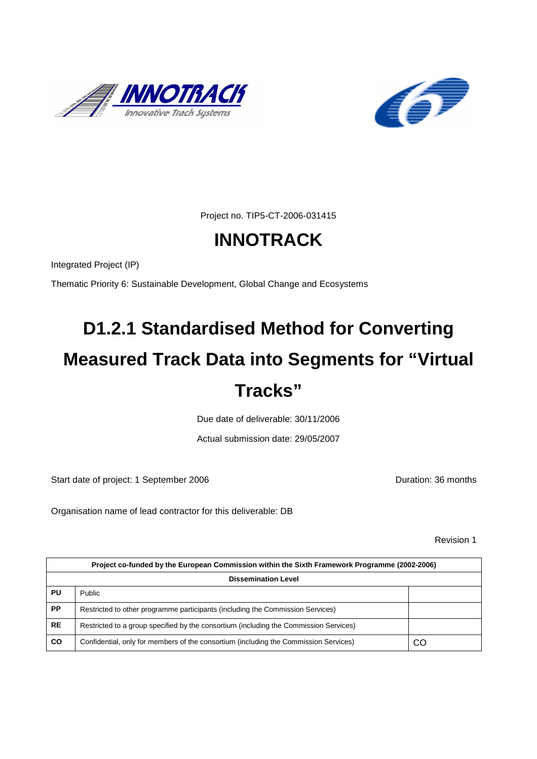![](_page_0_Picture_0.jpeg)

![](_page_0_Picture_1.jpeg)

Project no. TIP5-CT-2006-031415

# **INNOTRACK**

Integrated Project (IP)

Thematic Priority 6: Sustainable Development, Global Change and Ecosystems

# **D1.2.1 Standardised Method for Converting Measured Track Data into Segments for "Virtual Tracks"**

Due date of deliverable: 30/11/2006

Actual submission date: 29/05/2007

Start date of project: 1 September 2006 **Duration: 36 months** 

Organisation name of lead contractor for this deliverable: DB

Revision 1

| Project co-funded by the European Commission within the Sixth Framework Programme (2002-2006) |                                                                                       |    |  |  |  |  |  |  |  |
|-----------------------------------------------------------------------------------------------|---------------------------------------------------------------------------------------|----|--|--|--|--|--|--|--|
| <b>Dissemination Level</b>                                                                    |                                                                                       |    |  |  |  |  |  |  |  |
| PU                                                                                            | <b>Public</b>                                                                         |    |  |  |  |  |  |  |  |
| <b>PP</b>                                                                                     | Restricted to other programme participants (including the Commission Services)        |    |  |  |  |  |  |  |  |
| <b>RE</b>                                                                                     | Restricted to a group specified by the consortium (including the Commission Services) |    |  |  |  |  |  |  |  |
| CO                                                                                            | Confidential, only for members of the consortium (including the Commission Services)  | CO |  |  |  |  |  |  |  |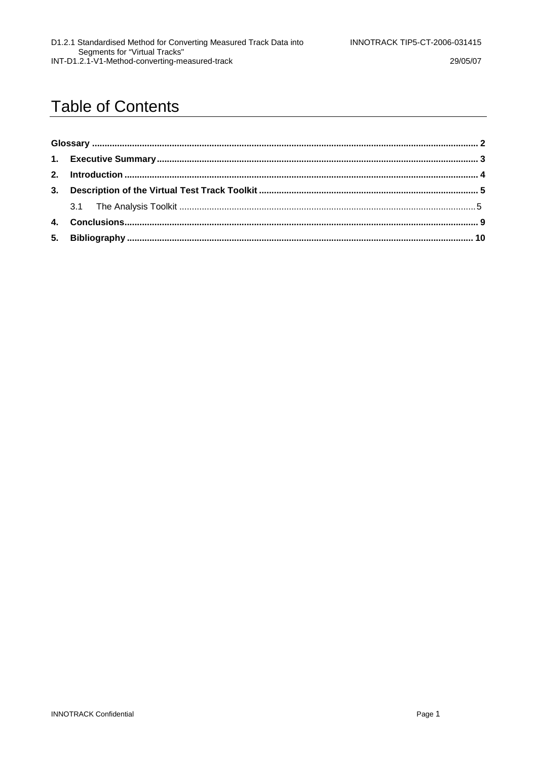29/05/07

# **Table of Contents**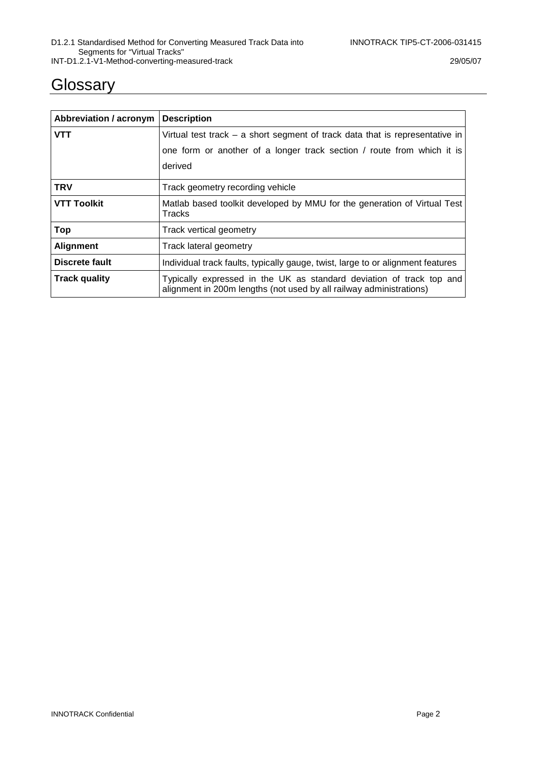### **Glossary**

| Abbreviation / acronym                         | <b>Description</b>                                                                                                                          |  |  |  |  |  |  |
|------------------------------------------------|---------------------------------------------------------------------------------------------------------------------------------------------|--|--|--|--|--|--|
| <b>VTT</b>                                     | Virtual test track $-$ a short segment of track data that is representative in                                                              |  |  |  |  |  |  |
|                                                | one form or another of a longer track section / route from which it is                                                                      |  |  |  |  |  |  |
|                                                | derived                                                                                                                                     |  |  |  |  |  |  |
| <b>TRV</b><br>Track geometry recording vehicle |                                                                                                                                             |  |  |  |  |  |  |
| <b>VTT Toolkit</b>                             | Matlab based toolkit developed by MMU for the generation of Virtual Test<br><b>Tracks</b>                                                   |  |  |  |  |  |  |
| Top                                            | Track vertical geometry                                                                                                                     |  |  |  |  |  |  |
| <b>Alignment</b>                               | Track lateral geometry                                                                                                                      |  |  |  |  |  |  |
| Discrete fault                                 | Individual track faults, typically gauge, twist, large to or alignment features                                                             |  |  |  |  |  |  |
| <b>Track quality</b>                           | Typically expressed in the UK as standard deviation of track top and<br>alignment in 200m lengths (not used by all railway administrations) |  |  |  |  |  |  |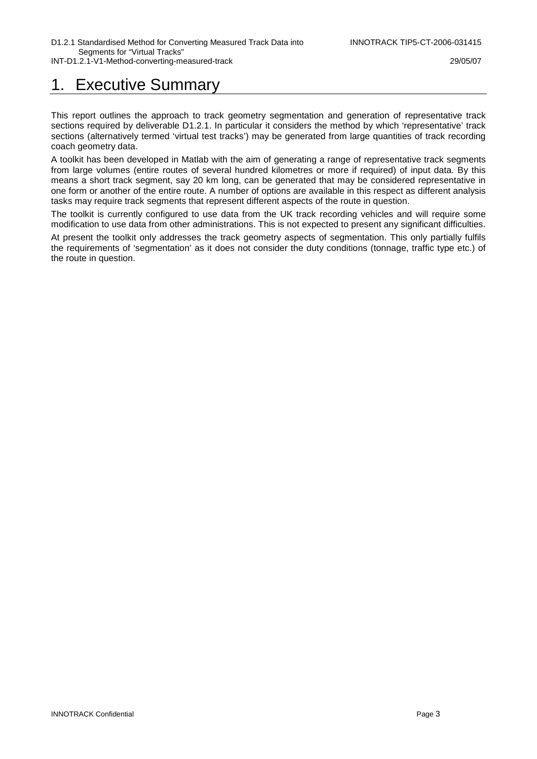### 1. Executive Summary

This report outlines the approach to track geometry segmentation and generation of representative track sections required by deliverable D1.2.1. In particular it considers the method by which 'representative' track sections (alternatively termed 'virtual test tracks') may be generated from large quantities of track recording coach geometry data.

A toolkit has been developed in Matlab with the aim of generating a range of representative track segments from large volumes (entire routes of several hundred kilometres or more if required) of input data. By this means a short track segment, say 20 km long, can be generated that may be considered representative in one form or another of the entire route. A number of options are available in this respect as different analysis tasks may require track segments that represent different aspects of the route in question.

The toolkit is currently configured to use data from the UK track recording vehicles and will require some modification to use data from other administrations. This is not expected to present any significant difficulties.

At present the toolkit only addresses the track geometry aspects of segmentation. This only partially fulfils the requirements of 'segmentation' as it does not consider the duty conditions (tonnage, traffic type etc.) of the route in question.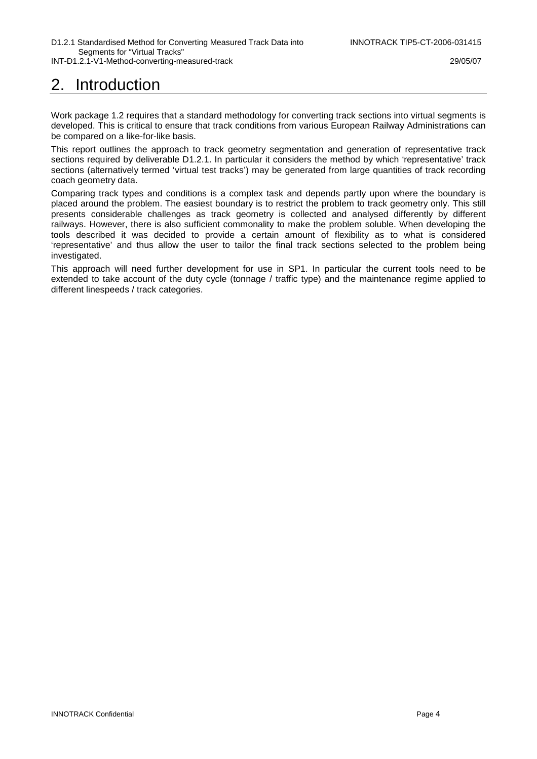# 2. Introduction

Work package 1.2 requires that a standard methodology for converting track sections into virtual segments is developed. This is critical to ensure that track conditions from various European Railway Administrations can be compared on a like-for-like basis.

This report outlines the approach to track geometry segmentation and generation of representative track sections required by deliverable D1.2.1. In particular it considers the method by which 'representative' track sections (alternatively termed 'virtual test tracks') may be generated from large quantities of track recording coach geometry data.

Comparing track types and conditions is a complex task and depends partly upon where the boundary is placed around the problem. The easiest boundary is to restrict the problem to track geometry only. This still presents considerable challenges as track geometry is collected and analysed differently by different railways. However, there is also sufficient commonality to make the problem soluble. When developing the tools described it was decided to provide a certain amount of flexibility as to what is considered 'representative' and thus allow the user to tailor the final track sections selected to the problem being investigated.

This approach will need further development for use in SP1. In particular the current tools need to be extended to take account of the duty cycle (tonnage / traffic type) and the maintenance regime applied to different linespeeds / track categories.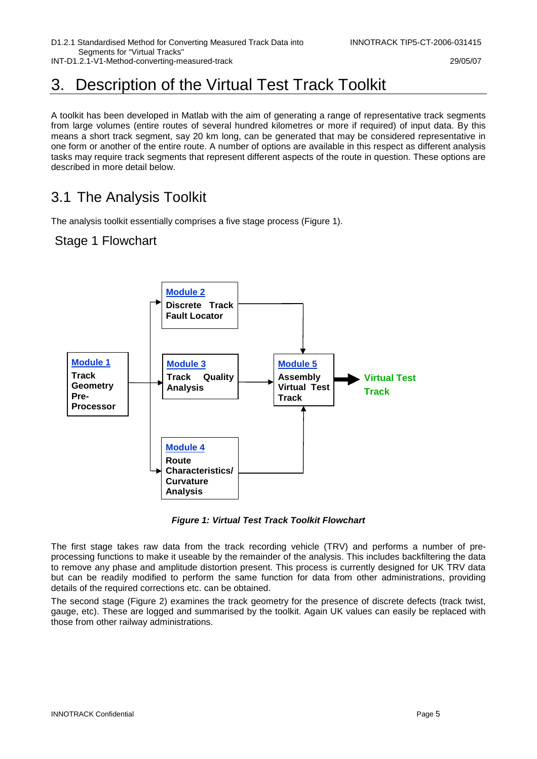INT-D1.2.1-V1-Method-converting-measured-track 29/05/07

# 3. Description of the Virtual Test Track Toolkit

A toolkit has been developed in Matlab with the aim of generating a range of representative track segments from large volumes (entire routes of several hundred kilometres or more if required) of input data. By this means a short track segment, say 20 km long, can be generated that may be considered representative in one form or another of the entire route. A number of options are available in this respect as different analysis tasks may require track segments that represent different aspects of the route in question. These options are described in more detail below.

### 3.1 The Analysis Toolkit

The analysis toolkit essentially comprises a five stage process (Figure 1).

#### Stage 1 Flowchart

![](_page_5_Figure_9.jpeg)

**Figure 1: Virtual Test Track Toolkit Flowchart** 

The first stage takes raw data from the track recording vehicle (TRV) and performs a number of preprocessing functions to make it useable by the remainder of the analysis. This includes backfiltering the data to remove any phase and amplitude distortion present. This process is currently designed for UK TRV data but can be readily modified to perform the same function for data from other administrations, providing details of the required corrections etc. can be obtained.

The second stage (Figure 2) examines the track geometry for the presence of discrete defects (track twist, gauge, etc). These are logged and summarised by the toolkit. Again UK values can easily be replaced with those from other railway administrations.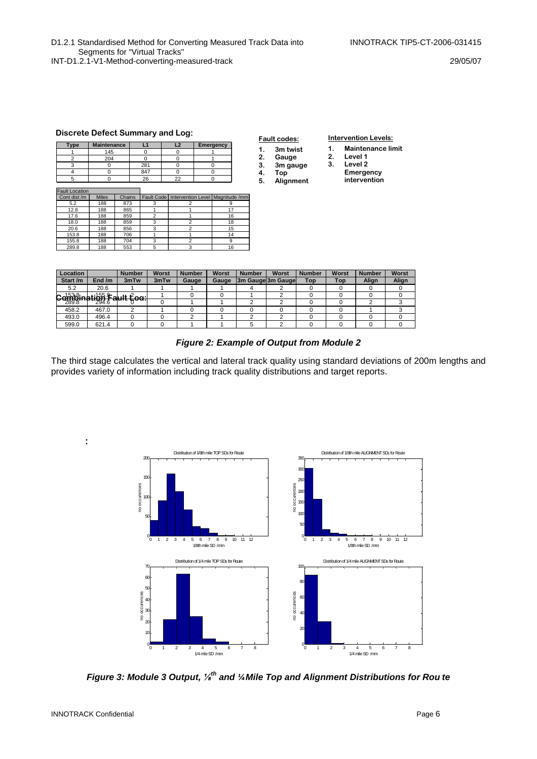INT-D1.2.1-V1-Method-converting-measured-track 29/05/07

#### **Discrete Defect Summary and Log:**

| Type                  | <b>Maintenance</b> |        | L1  |            |  | L <sub>2</sub>                   | <b>Emergency</b> |    |  |
|-----------------------|--------------------|--------|-----|------------|--|----------------------------------|------------------|----|--|
|                       | 145                |        | O   |            |  | ŋ                                |                  |    |  |
| $\overline{2}$        | 204                |        | ŋ   |            |  | $\Omega$                         |                  |    |  |
| 3                     | 0                  |        | 281 |            |  | $\Omega$                         |                  | 0  |  |
| 4                     | 0                  |        | 847 |            |  | O                                |                  | 0  |  |
| 5                     | ŋ                  |        |     | 26         |  | 22                               | 0                |    |  |
|                       |                    |        |     |            |  |                                  |                  |    |  |
| <b>Fault Location</b> |                    |        |     |            |  |                                  |                  |    |  |
| Cont dist /m          | <b>Miles</b>       | Chains |     | Fault Code |  | Intervention Level Magnitude /mm |                  |    |  |
| 5.2                   | 188                | 873    |     | 3          |  | $\overline{\mathbf{c}}$          |                  | 9  |  |
| 12.8                  | 188                | 865    |     |            |  |                                  |                  | 17 |  |
| 17.6                  | 188                | 859    |     | 2          |  |                                  |                  | 16 |  |
| 18.0                  | 188                | 859    |     | 3          |  | $\overline{2}$                   |                  | 18 |  |
| 20.6                  | 188                | 856    |     | 3          |  | $\mathfrak{p}$                   |                  | 15 |  |
| 153.8                 | 188                | 706    |     | 4          |  |                                  |                  | 14 |  |

155.8 188 704 3 2 9 289.8 188 553 5 3 3 16

|    | <b>Fault codes:</b> |  |  |  |  |  |  |  |  |
|----|---------------------|--|--|--|--|--|--|--|--|
| 1. | 3m twist            |  |  |  |  |  |  |  |  |
| 2. | Gauge               |  |  |  |  |  |  |  |  |
| 3. | 3m gauge            |  |  |  |  |  |  |  |  |
| 4. | Top                 |  |  |  |  |  |  |  |  |
| 5. | Alignment           |  |  |  |  |  |  |  |  |

#### **Intervention Levels:**

- **1. Maintenance limit**
- **2. Level 1 3. Level 2**
- **4. Emergency** 
	- **intervention**

| Location |                     | <b>Number</b>  | Worst | <b>Number</b> | Worst | <b>Number</b> | Worst             | <b>Number</b> | Worst      | <b>Number</b> | Worst |
|----------|---------------------|----------------|-------|---------------|-------|---------------|-------------------|---------------|------------|---------------|-------|
| Start /m | End $/m$            | 3mTw           | 3mTw  | Gauge         | Gauge |               | 3m Gauge 3m Gauge | Top           | <b>Top</b> | Align         | Align |
| 5.2      | 20.6                |                |       |               |       |               |                   |               |            |               |       |
| . 15318. | <b>. 155 - م</b> اد | $\cdots$       |       |               |       |               |                   |               |            |               |       |
| $-289.8$ | 294.6               | <u>un cuu.</u> |       |               |       |               |                   |               |            |               |       |
| 458.2    | 467.0               | C              |       |               |       |               |                   |               |            |               |       |
| 493.0    | 496.4               |                |       |               |       |               |                   |               |            |               |       |
| 599.0    | 621.4               |                |       |               |       |               |                   |               |            |               |       |

#### **Figure 2: Example of Output from Module 2**

The third stage calculates the vertical and lateral track quality using standard deviations of 200m lengths and provides variety of information including track quality distributions and target reports.

![](_page_6_Figure_15.jpeg)

**Figure 3: Module 3 Output,** ⅛ **th and ¼ Mile Top and Alignment Distributions for Rou te** 

**:**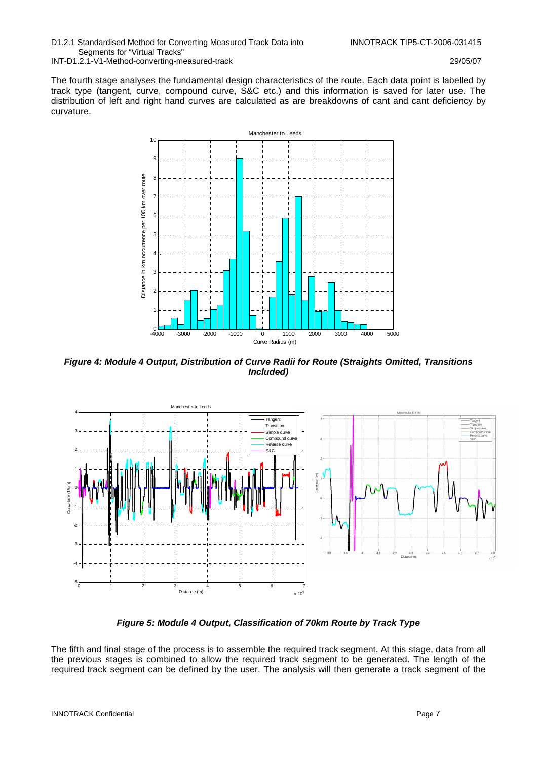D1.2.1 Standardised Method for Converting Measured Track Data into INNOTRACK TIP5-CT-2006-031415 Segments for "Virtual Tracks" INT-D1.2.1-V1-Method-converting-measured-track 29/05/07

The fourth stage analyses the fundamental design characteristics of the route. Each data point is labelled by track type (tangent, curve, compound curve, S&C etc.) and this information is saved for later use. The distribution of left and right hand curves are calculated as are breakdowns of cant and cant deficiency by curvature.

![](_page_7_Figure_4.jpeg)

**Figure 4: Module 4 Output, Distribution of Curve Radii for Route (Straights Omitted, Transitions Included)** 

![](_page_7_Figure_6.jpeg)

**Figure 5: Module 4 Output, Classification of 70km Route by Track Type** 

The fifth and final stage of the process is to assemble the required track segment. At this stage, data from all the previous stages is combined to allow the required track segment to be generated. The length of the required track segment can be defined by the user. The analysis will then generate a track segment of the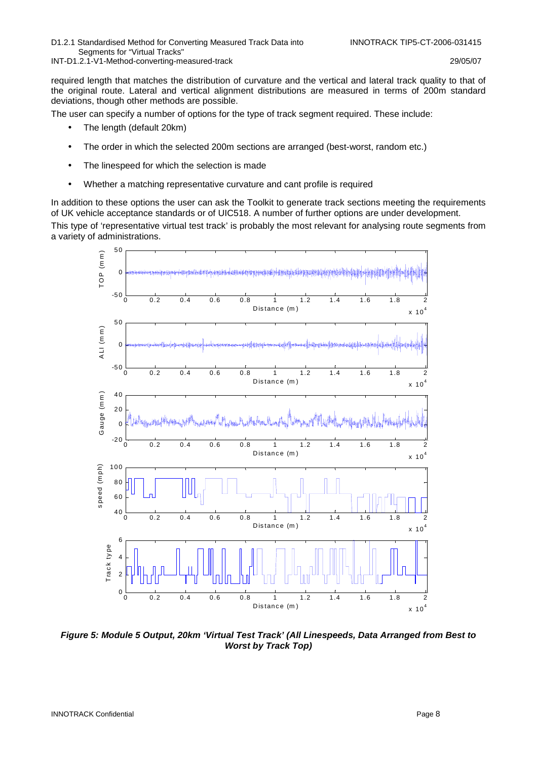INT-D1.2.1-V1-Method-converting-measured-track 29/05/07

required length that matches the distribution of curvature and the vertical and lateral track quality to that of the original route. Lateral and vertical alignment distributions are measured in terms of 200m standard deviations, though other methods are possible.

The user can specify a number of options for the type of track segment required. These include:

- The length (default 20km)
- The order in which the selected 200m sections are arranged (best-worst, random etc.)
- The linespeed for which the selection is made
- Whether a matching representative curvature and cant profile is required

In addition to these options the user can ask the Toolkit to generate track sections meeting the requirements of UK vehicle acceptance standards or of UIC518. A number of further options are under development. This type of 'representative virtual test track' is probably the most relevant for analysing route segments from a variety of administrations.

![](_page_8_Figure_11.jpeg)

**Figure 5: Module 5 Output, 20km 'Virtual Test Track' (All Linespeeds, Data Arranged from Best to Worst by Track Top)**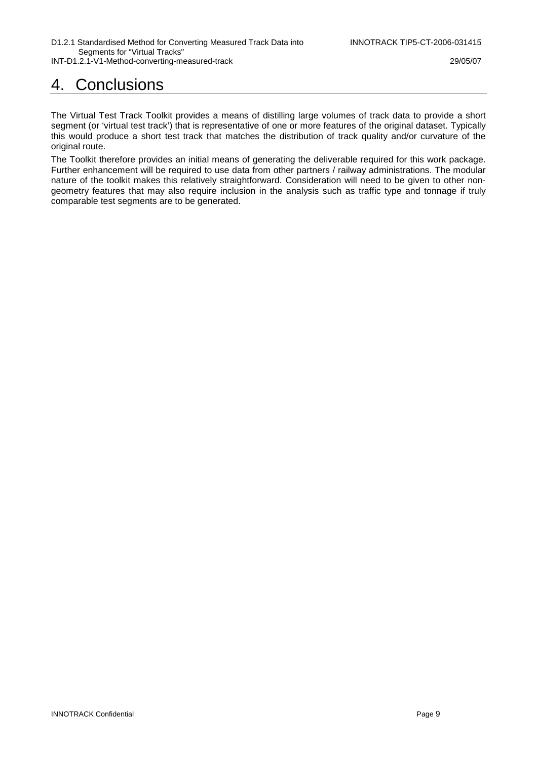## 4. Conclusions

The Virtual Test Track Toolkit provides a means of distilling large volumes of track data to provide a short segment (or 'virtual test track') that is representative of one or more features of the original dataset. Typically this would produce a short test track that matches the distribution of track quality and/or curvature of the original route.

The Toolkit therefore provides an initial means of generating the deliverable required for this work package. Further enhancement will be required to use data from other partners / railway administrations. The modular nature of the toolkit makes this relatively straightforward. Consideration will need to be given to other nongeometry features that may also require inclusion in the analysis such as traffic type and tonnage if truly comparable test segments are to be generated.